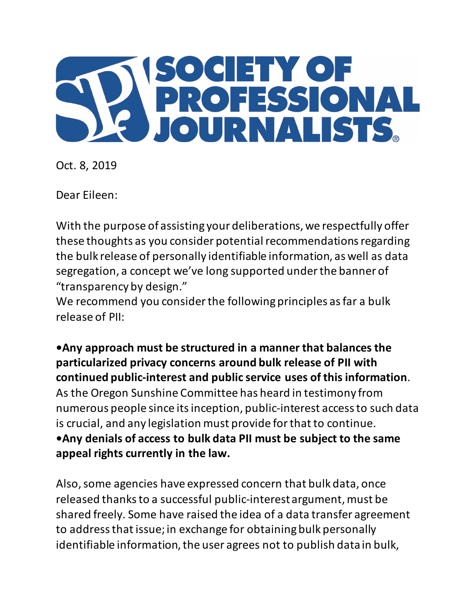

Oct. 8, 2019

Dear Eileen:

With the purpose of assisting your deliberations, we respectfully offer these thoughts as you consider potential recommendations regarding the bulk release of personally identifiable information, as well as data segregation, a concept we've long supported under the banner of "transparency by design."

We recommend you consider the following principles as far a bulk release of PII:

**•Any approach must be structured in a manner that balances the particularized privacy concerns around bulk release of PII with continued public-interest and public service uses of this information**. As the Oregon Sunshine Committee has heard in testimony from numerous people since its inception, public-interest access to such data is crucial, and any legislation must provide for that to continue. **•Any denials of access to bulk data PII must be subject to the same appeal rights currently in the law.** 

Also, some agencies have expressed concern that bulk data, once released thanks to a successful public-interest argument, must be shared freely. Some have raised the idea of a data transfer agreement to address that issue; in exchange for obtaining bulk personally identifiable information, the user agrees not to publish data in bulk,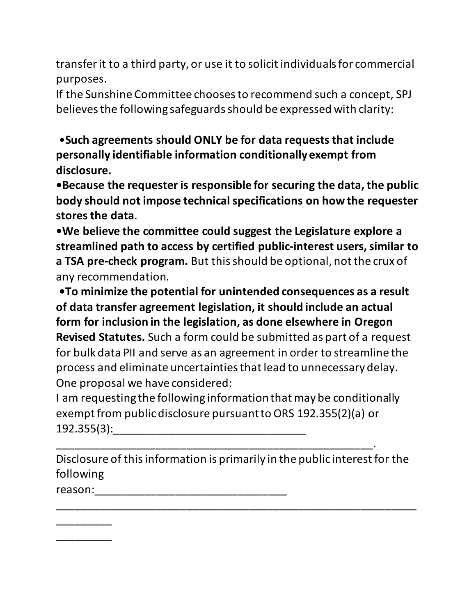transfer it to a third party, or use it to solicit individuals for commercial purposes.

If the Sunshine Committee chooses to recommend such a concept, SPJ believes the following safeguards should be expressed with clarity:

•**Such agreements should ONLY be for data requests that include personally identifiable information conditionally exempt from disclosure.** 

**•Because the requester is responsible for securing the data, the public body should not impose technical specifications on how the requester stores the data**.

**•We believe the committee could suggest the Legislature explore a streamlined path to access by certified public-interest users, similar to a TSA pre-check program.** But this should be optional, not the crux of any recommendation.

**•To minimize the potential for unintended consequences as a result of data transfer agreement legislation, it should include an actual form for inclusion in the legislation, as done elsewhere in Oregon Revised Statutes.** Such a form could be submitted as part of a request for bulk data PII and serve as an agreement in order to streamline the process and eliminate uncertainties that lead to unnecessary delay. One proposal we have considered:

I am requesting the following information that may be conditionally exempt from public disclosure pursuant to ORS 192.355(2)(a) or 192.355(3):\_\_\_\_\_\_\_\_\_\_\_\_\_\_\_\_\_\_\_\_\_\_\_\_\_\_\_\_\_\_\_

\_\_\_\_\_\_\_\_\_\_\_\_\_\_\_\_\_\_\_\_\_\_\_\_\_\_\_\_\_\_\_\_\_\_\_\_\_\_\_\_\_\_\_\_\_\_\_\_\_\_\_.

Disclosure of this information is primarily in the public interest for the following

\_\_\_\_\_\_\_\_\_\_\_\_\_\_\_\_\_\_\_\_\_\_\_\_\_\_\_\_\_\_\_\_\_\_\_\_\_\_\_\_\_\_\_\_\_\_\_\_\_\_\_\_\_\_\_\_\_\_

reason:\_\_\_\_\_\_\_\_\_\_\_\_\_\_\_\_\_\_\_\_\_\_\_\_\_\_\_\_\_\_\_

\_\_\_\_\_\_\_\_\_

\_\_\_\_\_\_\_\_\_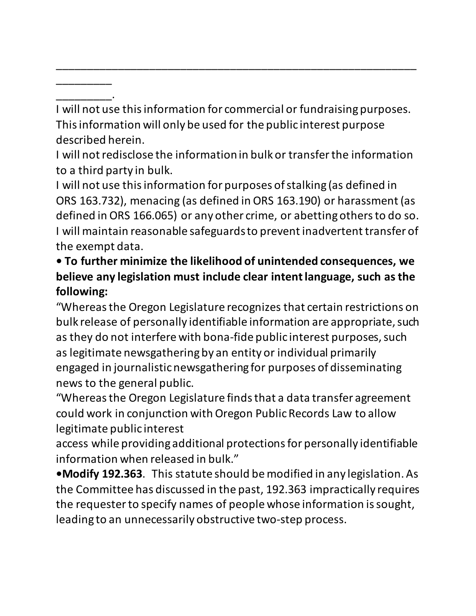\_\_\_\_\_\_\_\_\_. I will not use this information for commercial or fundraising purposes. This information will only be used for the public interest purpose described herein.

\_\_\_\_\_\_\_\_\_\_\_\_\_\_\_\_\_\_\_\_\_\_\_\_\_\_\_\_\_\_\_\_\_\_\_\_\_\_\_\_\_\_\_\_\_\_\_\_\_\_\_\_\_\_\_\_\_\_

 $\overline{\phantom{a}}$ 

I will not redisclose the information in bulk or transfer the information to a third party in bulk.

I will not use this information for purposes of stalking (as defined in ORS 163.732), menacing (as defined in ORS 163.190) or harassment (as defined in ORS 166.065) or any other crime, or abetting others to do so. I will maintain reasonable safeguards to prevent inadvertent transfer of the exempt data.

## **• To further minimize the likelihood of unintended consequences, we believe any legislation must include clear intent language, such as the following:**

"Whereas the Oregon Legislature recognizes that certain restrictions on bulk release of personally identifiable information are appropriate, such as they do not interfere with bona-fide public interest purposes, such as legitimate newsgathering by an entity or individual primarily engaged in journalistic newsgathering for purposes of disseminating news to the general public.

"Whereas the Oregon Legislature finds that a data transfer agreement could work in conjunction with Oregon Public Records Law to allow legitimate public interest

access while providing additional protections for personally identifiable information when released in bulk."

**•Modify 192.363**. This statute should be modified in any legislation. As the Committee has discussed in the past, 192.363 impractically requires the requester to specify names of people whose information is sought, leading to an unnecessarily obstructive two-step process.